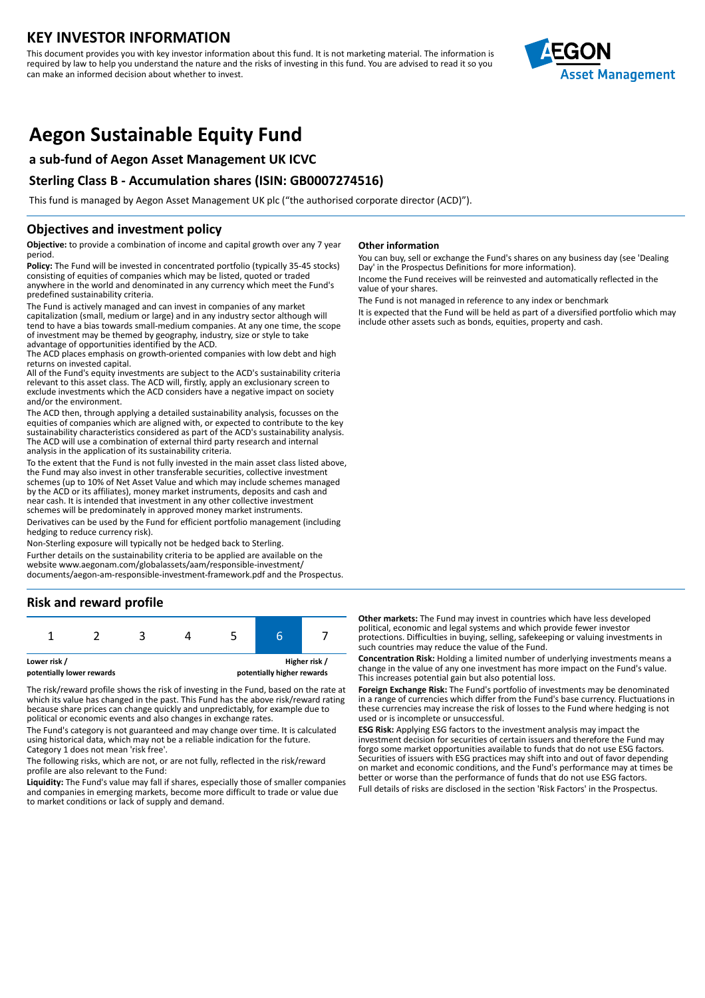## **KEY INVESTOR INFORMATION**

This document provides you with key investor information about this fund. It is not marketing material. The information is required by law to help you understand the nature and the risks of investing in this fund. You are advised to read it so you can make an informed decision about whether to invest.



# **Aegon Sustainable Equity Fund**

## **a sub-fund of Aegon Asset Management UK ICVC**

## **Sterling Class B - Accumulation shares (ISIN: GB0007274516)**

This fund is managed by Aegon Asset Management UK plc ("the authorised corporate director (ACD)").

## **Objectives and investment policy**

**Objective:** to provide a combination of income and capital growth over any 7 year period.

**Policy:** The Fund will be invested in concentrated portfolio (typically 35-45 stocks) consisting of equities of companies which may be listed, quoted or traded anywhere in the world and denominated in any currency which meet the Fund's predefined sustainability criteria.

The Fund is actively managed and can invest in companies of any market capitalization (small, medium or large) and in any industry sector although will tend to have a bias towards small-medium companies. At any one time, the scope of investment may be themed by geography, industry, size or style to take advantage of opportunities identified by the ACD.

The ACD places emphasis on growth-oriented companies with low debt and high returns on invested capital.

All of the Fund's equity investments are subject to the ACD's sustainability criteria relevant to this asset class. The ACD will, firstly, apply an exclusionary screen to exclude investments which the ACD considers have a negative impact on society and/or the environment.

The ACD then, through applying a detailed sustainability analysis, focusses on the equities of companies which are aligned with, or expected to contribute to the key sustainability characteristics considered as part of the ACD's sustainability analysis. The ACD will use a combination of external third party research and internal analysis in the application of its sustainability criteria.

To the extent that the Fund is not fully invested in the main asset class listed above, the Fund may also invest in other transferable securities, collective investment schemes (up to 10% of Net Asset Value and which may include schemes managed by the ACD or its affiliates), money market instruments, deposits and cash and near cash. It is intended that investment in any other collective investment schemes will be predominately in approved money market instruments.

Derivatives can be used by the Fund for efficient portfolio management (including hedging to reduce currency risk).

Non-Sterling exposure will typically not be hedged back to Sterling.

Further details on the sustainability criteria to be applied are available on the website www.aegonam.com/globalassets/aam/responsible-investment/ documents/aegon-am-responsible-investment-framework.pdf and the Prospectus.

## **Risk and reward profile**



The risk/reward profile shows the risk of investing in the Fund, based on the rate at which its value has changed in the past. This Fund has the above risk/reward rating because share prices can change quickly and unpredictably, for example due to political or economic events and also changes in exchange rates.

The Fund's category is not guaranteed and may change over time. It is calculated using historical data, which may not be a reliable indication for the future. Category 1 does not mean 'risk free'.

The following risks, which are not, or are not fully, reflected in the risk/reward profile are also relevant to the Fund:

**Liquidity:** The Fund's value may fall if shares, especially those of smaller companies and companies in emerging markets, become more difficult to trade or value due to market conditions or lack of supply and demand.

#### **Other information**

You can buy, sell or exchange the Fund's shares on any business day (see 'Dealing Day' in the Prospectus Definitions for more information).

Income the Fund receives will be reinvested and automatically reflected in the value of your shares.

The Fund is not managed in reference to any index or benchmark It is expected that the Fund will be held as part of a diversified portfolio which may include other assets such as bonds, equities, property and cash.

**Other markets:** The Fund may invest in countries which have less developed political, economic and legal systems and which provide fewer investor protections. Difficulties in buying, selling, safekeeping or valuing investments in such countries may reduce the value of the Fund.

**Concentration Risk:** Holding a limited number of underlying investments means a change in the value of any one investment has more impact on the Fund's value. This increases potential gain but also potential loss.

**Foreign Exchange Risk:** The Fund's portfolio of investments may be denominated in a range of currencies which differ from the Fund's base currency. Fluctuations in these currencies may increase the risk of losses to the Fund where hedging is not used or is incomplete or unsuccessful.

**ESG Risk:** Applying ESG factors to the investment analysis may impact the investment decision for securities of certain issuers and therefore the Fund may forgo some market opportunities available to funds that do not use ESG factors. Securities of issuers with ESG practices may shift into and out of favor depending on market and economic conditions, and the Fund's performance may at times be better or worse than the performance of funds that do not use ESG factors.

Full details of risks are disclosed in the section 'Risk Factors' in the Prospectus.